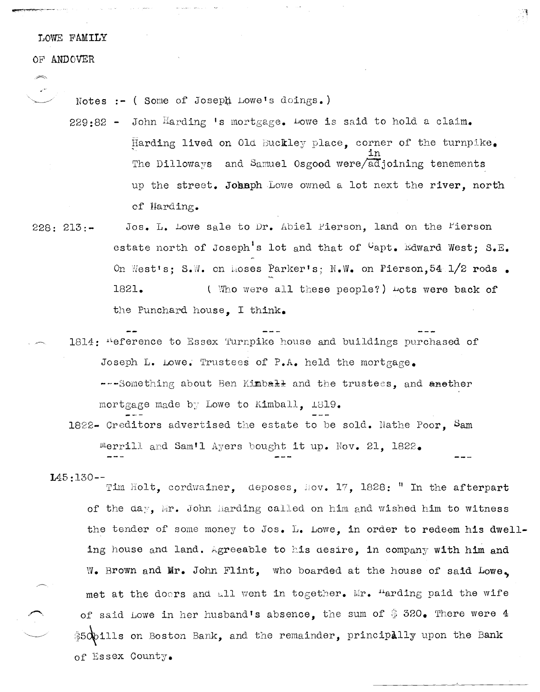## LOWE FAMILY

## OF ANDOVER

Notes :- ( Some of Joseph Lowe's doings.)

229:82 - John Harding 's mortgage. Lowe is said to hold a claim. Harding lived on Old Buckley place, corner of the turnpike. The Dilloways and Samuel Osgood were/adjoining tenements up the street. Johnph Lowe owned a lot next the river, north of Harding.

 $\mathbb{R}^3$ 

- Jos. L. Lowe sale to Dr. Abiel Pierson, land on the Fierson  $228:213:$ estate north of Joseph's lot and that of Capt. Edward West: S.E. On Westis; S.W. on Moses Parkeris; N.W. on Pierson, 54 1/2 rods. 1821. (Who were all these people?) Lots were back of the Punchard house. I think.
- 1814: "eference to Essex Turnpike house and buildings purchased of Joseph L. Lowe. Trustees of P.A. held the mortgage. ---Something about Ben Kimball and the trustees, and another mortgage made by Lowe to Kimball. 1819.
	- 1822- Creditors advertised the estate to be sold. Nathe Poor, Sam Merrill and Sam'l Ayers bought it up. Nov. 21, 1822.

## $145:130--$

Tim Holt, cordwainer, deposes, Hov. 17, 1828: " In the afterpart of the day, Mr. John Harding called on him and wished him to witness the tender of some money to Jos. L. Lowe, in order to redeem his dwelling house and land. Agreeable to his desire, in company with him and W. Brown and Mr. John Flint, who boarded at the house of said Lowe. met at the doors and all went in together. Mr. "arding paid the wife of said Lowe in her husband's absence, the sum of \$320. There were 4 \$50bills on Boston Bank, and the remainder, principally upon the Bank of Essex County.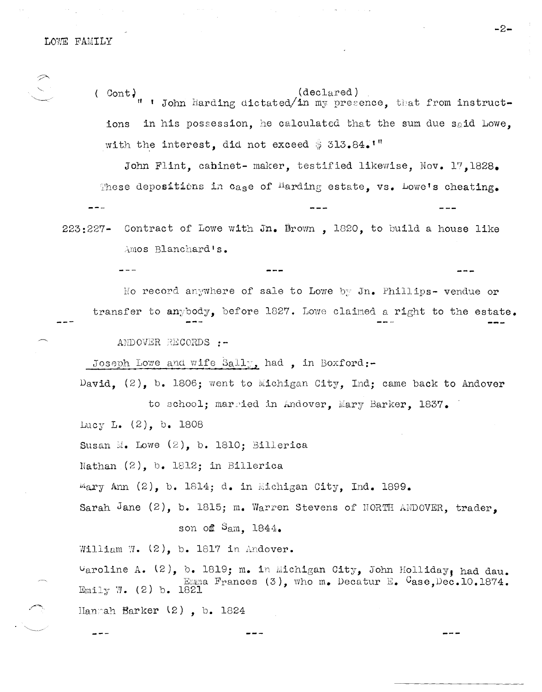LOWE FAMILY

 $($  Cont)<sub> $<sub>tt</sub>$ </sub></sub>  $(dec1ared)$ John Harding dictated/in my presence, that from instructin his possession, he calculated that the sum due said Lowe, ions with the interest, did not exceed \$ 313.84.

John Flint, cabinet- maker, testified likewise, Nov. 17, 1828. These depositions in case of Harding estate, vs. Lowe's cheating.  $- - -$ 

Contract of Lowe with Jn. Brown, 1820, to build a house like  $223:227-$ Amos Blanchard's.

No record anywhere of sale to Lowe by Jn. Phillips- vendue or transfer to anybody, before 1827. Lowe claimed a right to the estate.

ANDOVER RECORDS :-

Joseph Lowe and wife Sally, had, in Boxford:-

David. (2), b. 1806; went to Michigan City, Ind; came back to Andover to school; married in Andover, Mary Barker, 1837.

Lucy L. (2), b. 1808

Susan M. Lowe  $(2)$ , b. 1810; Billerica

Nathan  $(2)$ , b. 1812; in Billerica

 $M$ ary Ann (2), b. 1814; d. in Michigan City, Ind. 1899.

Sarah Jane (2), b. 1815; m. Warren Stevens of NORTH ANDOVER, trader.

son of  $S_{\rm am}$ , 1844.

William W.  $(2)$ , b. 1817 in Andover.

 $\cup$ aroline A. (2), b. 1819; m. in Michigan City, John Holliday, had dau. Emma Frances (3), who m. Decatur E.  $C$ ase, Dec. 10.1874. Emily W. (2) b. 1821 Hanmah Barker  $(2)$ , b. 1824

-2-